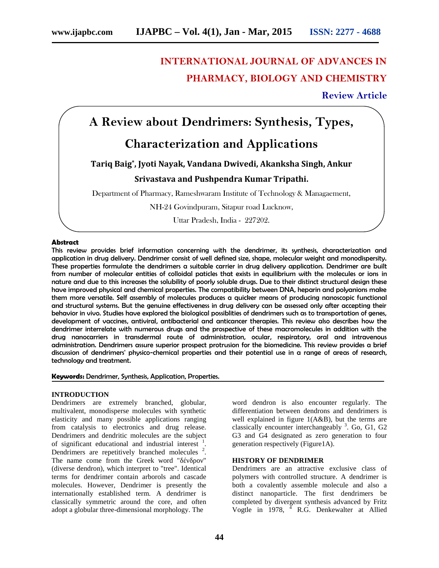# **INTERNATIONAL JOURNAL OF ADVANCES IN PHARMACY, BIOLOGY AND CHEMISTRY**

# **Review Article**

# **A Review about Dendrimers: Synthesis, Types,**

# **Characterization and Applications**

# **Tariq Baig\* , Jyoti Nayak, Vandana Dwivedi, Akanksha Singh, Ankur**

# **Srivastava and Pushpendra Kumar Tripathi.**

Department of Pharmacy, Rameshwaram Institute of Technology & Managaement,

NH-24 Govindpuram, Sitapur road Lucknow,

Uttar Pradesh, India - 227202.

# **Abstract**

This review provides brief information concerning with the dendrimer, its synthesis, characterization and application in drug delivery. Dendrimer consist of well defined size, shape, molecular weight and monodispersity. These properties formulate the dendrimers a suitable carrier in drug delivery application. Dendrimer are built from number of molecular entities of colloidal paticles that exists in equilibrium with the molecules or ions in nature and due to this increases the solubility of poorly soluble drugs. Due to their distinct structural design these have improved physical and chemical properties. The compatibility between DNA, heparin and polyanions make them more versatile. Self assembly of molecules produces a quicker means of producing nanoscopic functional and structural systems. But the genuine effectiveness in drug delivery can be assessed only after accepting their behavior in vivo. Studies have explored the biological possiblities of dendrimers such as to transportation of genes, development of vaccines, antiviral, antibacterial and anticancer therapies. This review also describes how the dendrimer interrelate with numerous drugs and the prospective of these macromolecules in addition with the drug nanocarriers in transdermal route of administration, ocular, respiratory, oral and intravenous administration. Dendrimers assure superior prospect protrusion for the biomedicine. This review provides a brief discussion of dendrimers' physico-chemical properties and their potential use in a range of areas of research, technology and treatment.

# **Keywords:** Dendrimer, Synthesis, Application, Properties.

# **INTRODUCTION**

Dendrimers are extremely branched, globular, multivalent, monodisperse molecules with synthetic elasticity and many possible applications ranging from catalysis to electronics and drug release. Dendrimers and dendritic molecules are the subject of significant educational and industrial interest . Dendrimers are repetitively branched molecules <sup>2</sup> . The name come from the Greek word " (diverse dendron), which interpret to "tree". Identical terms for dendrimer contain arborols and cascade molecules. However, Dendrimer is presently the internationally established term. A dendrimer is classically symmetric around the core, and often adopt a globular three-dimensional morphology. The

word dendron is also encounter regularly. The differentiation between dendrons and dendrimers is well explained in figure 1(A&B), but the terms are classically encounter interchangeably <sup>3</sup>. Go, G1, G2 G3 and G4 designated as zero generation to four generation respectively (Figure1A).

# **HISTORY OF DENDRIMER**

Dendrimers are an attractive exclusive class of polymers with controlled structure. A dendrimer is both a covalently assemble molecule and also a distinct nanoparticle. The first dendrimers be completed by divergent synthesis advanced by Fritz Vogtle in 1978, <sup>4</sup> R.G. Denkewalter at Allied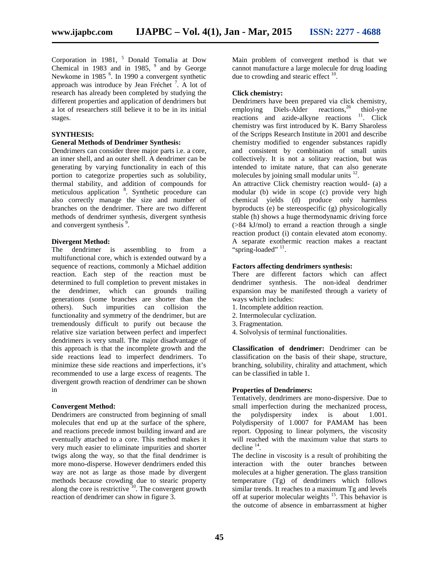Corporation in 1981, <sup>5</sup> Donald Tomalia at Dow Chemical in 1983 and in 1985, <sup>9</sup> and by George Newkome in 1985<sup>6</sup>. In 1990 a convergent synthetic approach was introduce by Jean Fréchet<sup>7</sup>. A lot of research has already been completed by studying the different properties and application of dendrimers but a lot of researchers still believe it to be in its initial stages.

# **SYNTHESIS:**

# **General Methods of Dendrimer Synthesis:**

Dendrimers can consider three major parts i.e. a core, an inner shell, and an outer shell. A dendrimer can be generating by varying functionality in each of this portion to categorize properties such as solubility, thermal stability, and addition of compounds for meticulous application<sup>8</sup>. Synthetic procedure can also correctly manage the size and number of branches on the dendrimer. There are two different methods of dendrimer synthesis, divergent synthesis and convergent synthesis<sup>9</sup>.

# **Divergent Method:**

The dendrimer is assembling to from a multifunctional core, which is extended outward by a sequence of reactions, commonly a Michael addition reaction. Each step of the reaction must be determined to full completion to prevent mistakes in the dendrimer, which can grounds trailing generations (some branches are shorter than the others). Such impurities can collision the functionality and symmetry of the dendrimer, but are tremendously difficult to purify out because the relative size variation between perfect and imperfect dendrimers is very small. The major disadvantage of this approach is that the incomplete growth and the side reactions lead to imperfect dendrimers. To minimize these side reactions and imperfections, it's recommended to use a large excess of reagents. The divergent growth reaction of dendrimer can be shown in

# **Convergent Method:**

Dendrimers are constructed from beginning of small molecules that end up at the surface of the sphere, and reactions precede inmost building inward and are eventually attached to a core. This method makes it very much easier to eliminate impurities and shorter twigs along the way, so that the final dendrimer is more mono-disperse. However dendrimers ended this way are not as large as those made by divergent methods because crowding due to stearic property along the core is restrictive  $\frac{10}{10}$ . The convergent growth reaction of dendrimer can show in figure 3.

Main problem of convergent method is that we cannot manufacture a large molecule for drug loading due to crowding and stearic effect  $10$ .

# **Click chemistry:**

Dendrimers have been prepared via click chemistry, employing Diels-Alder reactions,  $^{26}$  thiol-yne reactions and azide-alkyne reactions  $11$ . Click chemistry was first introduced by K. Barry Sharoless of the Scripps Research Institute in 2001 and describe chemistry modified to engender substances rapidly and consistent by combination of small units collectively. It is not a solitary reaction, but was intended to imitate nature, that can also generate molecules by joining small modular units  $^{12}$ . .

An attractive Click chemistry reaction would- (a) a modular (b) wide in scope (c) provide very high chemical yields (d) produce only harmless byproducts (e) be stereospecific (g) physicologically stable (h) shows a huge thermodynamic driving force (>84 kJ/mol) to errand a reaction through a single reaction product (i) contain elevated atom economy. A separate exothermic reaction makes a reactant "spring-loaded" <sup>11</sup>.

#### **Factors affecting dendrimers synthesis:**

There are different factors which can affect dendrimer synthesis. The non-ideal dendrimer expansion may be manifested through a variety of ways which includes:

- 1. Incomplete addition reaction.
- 2. Intermolecular cyclization.
- 3. Fragmentation.
- 4. Solvolysis of terminal functionalities.

**Classification of dendrimer:** Dendrimer can be classification on the basis of their shape, structure, branching, solubility, chirality and attachment, which can be classified in table 1.

#### **Properties of Dendrimers:**

Tentatively, dendrimers are mono-dispersive. Due to small imperfection during the mechanized process, the polydispersity index is about 1.001. Polydispersity of 1.0007 for PAMAM has been report. Opposing to linear polymers, the viscosity will reached with the maximum value that starts to decline  $14$ .

The decline in viscosity is a result of prohibiting the interaction with the outer branches between molecules at a higher generation. The glass transition temperature (Tg) of dendrimers which follows similar trends. It reaches to a maximum Tg and levels off at superior molecular weights <sup>15</sup>. This behavior is the outcome of absence in embarrassment at higher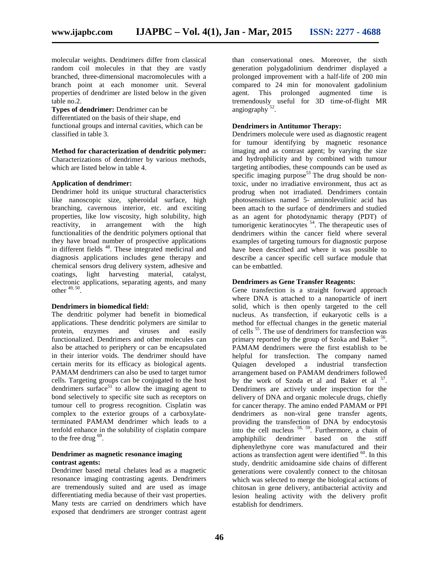molecular weights. Dendrimers differ from classical random coil molecules in that they are vastly branched, three-dimensional macromolecules with a branch point at each monomer unit. Several properties of dendrimer are listed below in the given table no.2.

**Types of dendrimer:** Dendrimer can be differentiated on the basis of their shape, end functional groups and internal cavities, which can be classified in table 3.

**Method for characterization of dendritic polymer:** Characterizations of dendrimer by various methods,

which are listed below in table 4.

# **Application of dendrimer:**

Dendrimer hold its unique structural characteristics like nanoscopic size, spheroidal surface, high branching, cavernous interior, etc. and exciting properties, like low viscosity, high solubility, high reactivity, in arrangement with the high functionalities of the dendritic polymers optional that they have broad number of prospective applications in different fields <sup>48</sup>. These integrated medicinal and diagnosis applications includes gene therapy and chemical sensors drug delivery system, adhesive and coatings, light harvesting material, catalyst, electronic applications, separating agents, and many other  $49, 50$ .

# **Dendrimers in biomedical field:**

The dendritic polymer had benefit in biomedical applications. These dendritic polymers are similar to protein, enzymes and viruses and easily functionalized. Dendrimers and other molecules can also be attached to periphery or can be encapsulated in their interior voids. The dendrimer should have certain merits for its efficacy as biological agents. PAMAM dendrimers can also be used to target tumor cells. Targeting groups can be conjugated to the host dendrimers surface<sup>51</sup> to allow the imaging agent to bond selectively to specific site such as receptors on tumour cell to progress recognition. Cisplatin was complex to the exterior groups of a carboxylateterminated PAMAM dendrimer which leads to a tenfold enhance in the solubility of cisplatin compare to the free drug  $69$ .

# **Dendrimer as magnetic resonance imaging contrast agents:**

Dendrimer based metal chelates lead as a magnetic resonance imaging contrasting agents. Dendrimers are tremendously suited and are used as image differentiating media because of their vast properties. Many tests are carried on dendrimers which have exposed that dendrimers are stronger contrast agent than conservational ones. Moreover, the sixth generation polygadolinium dendrimer displayed a prolonged improvement with a half-life of 200 min compared to 24 min for monovalent gadolinium This prolonged augmented time is tremendously useful for 3D time-of-flight MR angiography<sup>52</sup>.

# **Dendrimers in Antitumor Therapy:**

Dendrimers molecule were used as diagnostic reagent for tumour identifying by magnetic resonance imaging and as contrast agent; by varying the size and hydrophilicity and by combined with tumour targeting antibodies, these compounds can be used as specific imaging purpose<sup>53</sup> The drug should be nontoxic, under no irradiative environment, thus act as prodrug when not irradiated. Dendrimers contain photosensitises named 5- aminolevulinic acid has been attach to the surface of dendrimers and studied as an agent for photodynamic therapy (PDT) of tumorigenic keratinocytes  $54$ . The therapeutic uses of dendrimers within the cancer field where several examples of targeting tumours for diagnostic purpose have been described and where it was possible to describe a cancer specific cell surface module that can be embattled.

# **Dendrimers as Gene Transfer Reagents:**

Gene transfection is a straight forward approach where DNA is attached to a nanoparticle of inert solid, which is then openly targeted to the cell nucleus. As transfection, if eukaryotic cells is a method for effectual changes in the genetic material of cells <sup>55</sup>. The use of dendrimers for transfection was primary reported by the group of Szoka and Baker <sup>56</sup>. PAMAM dendrimers were the first establish to be helpful for transfection. The company named Quiagen developed a industrial transfection arrangement based on PAMAM dendrimers followed by the work of Szoda et al and Baker et al <sup>57</sup>. Dendrimers are actively under inspection for the delivery of DNA and organic molecule drugs, chiefly for cancer therapy. The amino ended PAMAM or PPI dendrimers as non-viral gene transfer agents, providing the transfection of DNA by endocytosis into the cell nucleus  $58, 59$ . Furthermore, a chain of amphiphilic dendrimer based on the stiff diphenylethyne core was manufactured and their actions as transfection agent were identified <sup>60</sup>. In this study, dendritic amidoamine side chains of different generations were covalently connect to the chitosan which was selected to merge the biological actions of chitosan in gene delivery, antibacterial activity and lesion healing activity with the delivery profit establish for dendrimers.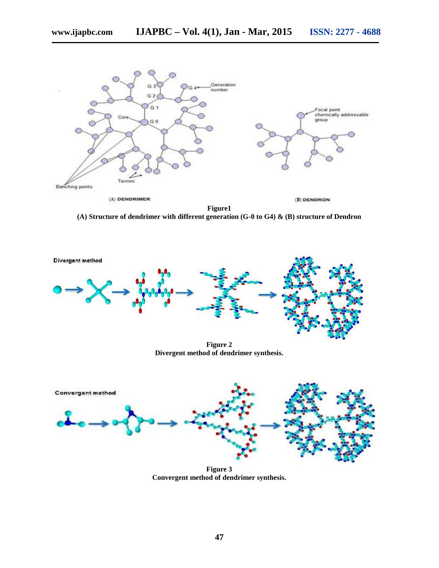

**(A) Structure of dendrimer with different generation (G-0 to G4) & (B) structure of Dendron**



**Figure 2 Divergent method of dendrimer synthesis.**



**Figure 3 Convergent method of dendrimer synthesis.**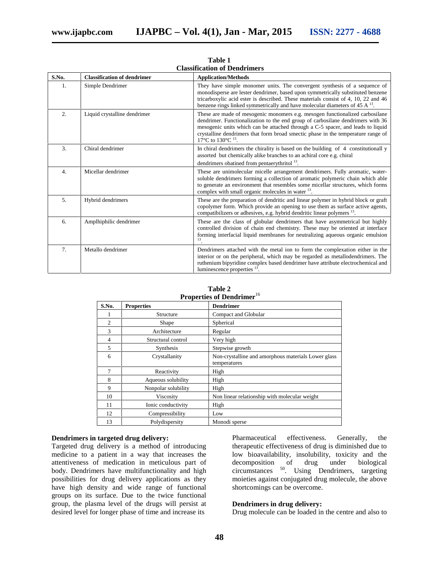| S.No.            | <b>Classification of dendrimer</b> | <b>Application/Methods</b>                                                                                                                                                                                                                                                                                                                                        |
|------------------|------------------------------------|-------------------------------------------------------------------------------------------------------------------------------------------------------------------------------------------------------------------------------------------------------------------------------------------------------------------------------------------------------------------|
| 1.               | Simple Dendrimer                   | They have simple monomer units. The convergent synthesis of a sequence of<br>monodisperse are lester dendrimer, based upon symmetrically substituted benzene<br>tricarboxylic acid ester is described. These materials consist of 4, 10, 22 and 46<br>benzene rings linked symmetrically and have molecular diameters of 45 A $^{13}$ .                           |
| 2.               | Liquid crystalline dendrimer       | These are made of mesogenic monomers e.g. mesogen functionalized carbosilane<br>dendrimer. Functionalization to the end group of carbosilane dendrimers with 36<br>mesogenic units which can be attached through a C-5 spacer, and leads to liquid<br>crystalline dendrimers that form broad smectic phase in the temperature range of<br>17°C to 130°C $^{13}$ . |
| 3.               | Chiral dendrimer                   | In chiral dendrimers the chirality is based on the building of 4 constitutionall y<br>assorted but chemically alike branches to an achiral core e.g. chiral<br>dendrimers obatined from pentaerythritol <sup>13</sup> .                                                                                                                                           |
| $\overline{4}$ . | Micellar dendrimer                 | These are unimolecular micelle arrangement dendrimers. Fully aromatic, water-<br>soluble dendrimers forming a collection of aromatic polymeric chain which able<br>to generate an environment that resembles some micellar structures, which forms<br>complex with small organic molecules in water <sup>13</sup> .                                               |
| 5.               | Hybrid dendrimers                  | These are the preparation of dendritic and linear polymer in hybrid block or graft<br>copolymer form. Which provide an opening to use them as surface active agents,<br>compatibilizers or adhesives, e.g. hybrid dendritic linear polymers <sup>13</sup> .                                                                                                       |
| 6.               | Amplhiphilic dendrimer             | These are the class of globular dendrimers that have asymmetrical but highly<br>controlled division of chain end chemistry. These may be oriented at interface<br>forming interfacial liquid membranes for neutralizing aqueous organic emulsion<br>13                                                                                                            |
| 7.               | Metallo dendrimer                  | Dendrimers attached with the metal ion to form the complexation either in the<br>interior or on the peripheral, which may be regarded as metallodendrimers. The<br>ruthenium bipyridine complex based dendrimer have attribute electrochemical and<br>luminescence properties $^{13}$ .                                                                           |

**Table 1 Classification of Dendrimers**

| S.No.          | <b>Properties</b>   | <b>Dendrimer</b>                                                    |
|----------------|---------------------|---------------------------------------------------------------------|
|                | Structure           | Compact and Globular                                                |
| $\overline{c}$ | Shape               | Spherical                                                           |
| 3              | Architecture        | Regular                                                             |
| 4              | Structural control  | Very high                                                           |
| 5              | Synthesis           | Stepwise growth                                                     |
| 6              | Crystallanity       | Non-crystalline and amorphous materials Lower glass<br>temperatures |
| 7              | Reactivity          | High                                                                |
| 8              | Aqueous solubility  | High                                                                |
| 9              | Nonpolar solubility | High                                                                |
| 10             | Viscosity           | Non linear relationship with molecular weight                       |
| 11             | Ionic conductivity  | High                                                                |
| 12             | Compressibility     | Low                                                                 |
| 13             | Polydispersity      | Monodi sperse                                                       |

| Table 2                                      |  |
|----------------------------------------------|--|
| <b>Properties of Dendrimer</b> <sup>16</sup> |  |

# **Dendrimers in targeted drug delivery:**

Targeted drug delivery is a method of introducing medicine to a patient in a way that increases the attentiveness of medication in meticulous part of body. Dendrimers have multifunctionality and high possibilities for drug delivery applications as they have high density and wide range of functional groups on its surface. Due to the twice functional group, the plasma level of the drugs will persist at desired level for longer phase of time and increase its

Pharmaceutical effectiveness. Generally, the therapeutic effectiveness of drug is diminished due to low bioavailability, insolubility, toxicity and the decomposition of drug under biological decomposition of drug under biological circumstances <sup>50</sup> . Using Dendrimers, targeting moieties against conjugated drug molecule, the above shortcomings can be overcome.

# **Dendrimers in drug delivery:**

Drug molecule can be loaded in the centre and also to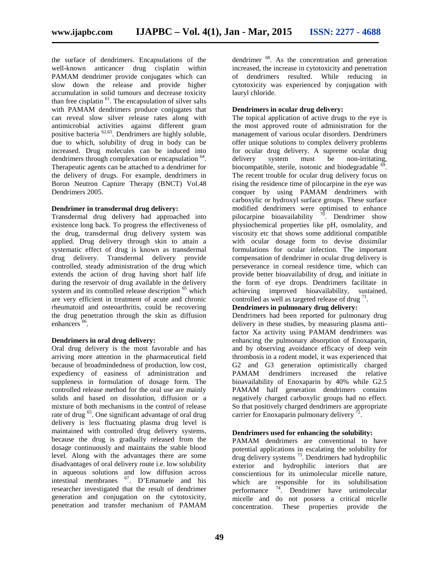the surface of dendrimers. Encapsulations of the well-known anticancer drug cisplatin within PAMAM dendrimer provide conjugates which can slow down the release and provide higher accumulation in solid tumours and decrease toxicity than free cisplatin  $^{61}$ . The encapsulation of silver salts with PAMAM dendrimers produce conjugates that can reveal slow silver release rates along with antimicrobial activities against different gram positive bacteria <sup>62,63</sup>. Dendrimers are highly soluble, due to which, solubility of drug in body can be increased. Drug molecules can be induced into dendrimers through complexation or encapsulation <sup>64</sup> . Therapeutic agents can be attached to a dendrimer for the delivery of drugs. For example, dendrimers in Boron Neutron Capture Therapy (BNCT) Vol.48 Dendrimers 2005.

# **Dendrimer in transdermal drug delivery:**

Transdermal drug delivery had approached into existence long back. To progress the effectiveness of the drug, transdermal drug delivery system was applied. Drug delivery through skin to attain a systematic effect of drug is known as transdermal drug delivery. Transdermal delivery provide controlled, steady administration of the drug which extends the action of drug having short half life during the reservoir of drug available in the delivery system and its controlled release description <sup>65</sup> which are very efficient in treatment of acute and chronic rheumatoid and osteoarthritis, could be recovering the drug penetration through the skin as diffusion enhancers<sup>66</sup>.

# **Dendrimers in oral drug delivery:**

Oral drug delivery is the most favorable and has arriving more attention in the pharmaceutical field because of broadmindedness of production, low cost, expediency of easiness of administration and suppleness in formulation of dosage form. The controlled release method for the oral use are mainly solids and based on dissolution, diffusion or a mixture of both mechanisms in the control of release rate of drug <sup>65</sup>. One significant advantage of oral drug delivery is less fluctuating plasma drug level is maintained with controlled drug delivery systems, because the drug is gradually released from the dosage continuously and maintains the stable blood level. Along with the advantages there are some disadvantages of oral delivery route i.e. low solubility in aqueous solutions and low diffusion across intestinal membranes <sup>67</sup> . D'Emanuele and his researcher investigated that the result of dendrimer generation and conjugation on the cytotoxicity, penetration and transfer mechanism of PAMAM

dendrimer <sup>68</sup>. As the concentration and generation increased, the increase in cytotoxicity and penetration of dendrimers resulted. While reducing in cytotoxicity was experienced by conjugation with lauryl chloride.

# **Dendrimers in ocular drug delivery:**

The topical application of active drugs to the eye is the most approved route of administration for the management of various ocular disorders. Dendrimers offer unique solutions to complex delivery problems for ocular drug delivery. A supreme ocular drug delivery system must be non-irritating. biocompatible, sterile, isotonic and biodegradable  $\delta$ . The recent trouble for ocular drug delivery focus on rising the residence time of pilocarpine in the eye was conquer by using PAMAM dendrimers with carboxylic or hydroxyl surface groups. These surface modified dendrimers were optimised to enhance pilocarpine bioavailability <sup>70</sup>  $\frac{70}{10}$ . Dendrimer show physiochemical properties like pH, osmolality, and viscosity etc that shows some additional compatible with ocular dosage form to devise dissimilar formulations for ocular infection. The important compensation of dendrimer in ocular drug delivery is perseverance in corneal residence time, which can provide better bioavailability of drug, and initiate in the form of eye drops. Dendrimers facilitate in achieving improved bioavailability, sustained, controlled as well as targeted release of drug  $71$ .

# **Dendrimers in pulmonary drug delivery:**

Dendrimers had been reported for pulmonary drug delivery in these studies, by measuring plasma antifactor Xa activity using PAMAM dendrimers was enhancing the pulmonary absorption of Enoxaparin, and by observing avoidance efficacy of deep vein thrombosis in a rodent model, it was experienced that G2 and G3 generation optimistically charged PAMAM dendrimers increased the relative bioavailability of Enoxaparin by 40% while G2.5 PAMAM half generation dendrimers contains negatively charged carboxylic groups had no effect. So that positively charged dendrimers are appropriate carrier for Enoxaparin pulmonary delivery  $\frac{72}{1}$ .

# **Dendrimers used for enhancing the solubility:**

PAMAM dendrimers are conventional to have potential applications in escalating the solubility for drug delivery systems <sup>73</sup> . Dendrimers had hydrophilic exterior and hydrophilic interiors that are conscientious for its unimolecular micelle nature, which are responsible for its solubilisation performance <sup>74</sup> . Dendrimer have unimolecular micelle and do not possess a critical micelle concentration. These properties provide the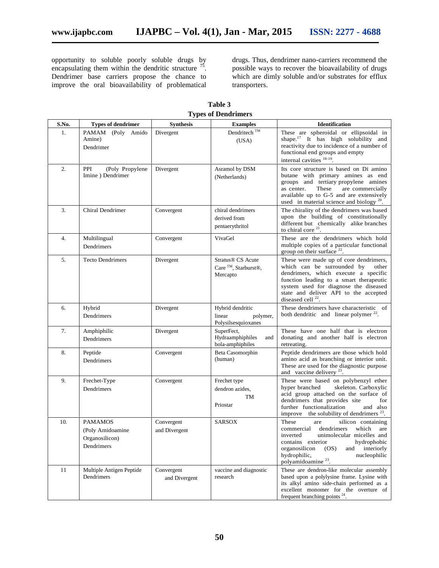opportunity to soluble poorly soluble drugs by encapsulating them within the dendritic structure  $^{75}$ . Dendrimer base carriers propose the chance to improve the oral bioavailability of problematical

drugs. Thus, dendrimer nano-carriers recommend the possible ways to recover the bioavailability of drugs which are dimly soluble and/or substrates for efflux transporters.

**Table 3 Types of Dendrimers**

| S.No.            | <b>Types of dendrimer</b>                                          | <b>Synthesis</b>            | <b>Examples</b>                                                                           | <b>Identification</b>                                                                                                                                                                                                                                                         |
|------------------|--------------------------------------------------------------------|-----------------------------|-------------------------------------------------------------------------------------------|-------------------------------------------------------------------------------------------------------------------------------------------------------------------------------------------------------------------------------------------------------------------------------|
| 1.               | PAMAM (Poly Amido<br>Amine)<br>Dendrimer                           | Divergent                   | Dendritech <sup>TM</sup><br>(USA)                                                         | These are spheroidal or ellipsoidal in<br>shape. <sup>17</sup> It has high solubility and<br>reactivity due to incidence of a number of<br>functional end groups and empty<br>internal cavities <sup>18-19</sup> .                                                            |
| 2.               | PPI<br>(Poly Propylene<br>Imine ) Dendrimer                        | Divergent                   | Asramol by DSM<br>(Netherlands)                                                           | Its core structure is based on Di amino<br>butane with primary amines as end<br>groups and tertiary propylene amines<br>are commercially<br>as center.<br>These<br>available up to G-5 and are extensively<br>used in material science and biology $20$ .                     |
| 3.               | <b>Chiral Dendrimer</b>                                            | Convergent                  | chiral dendrimers<br>derived from<br>pentaerythritol                                      | The chirality of the dendrimers was based<br>upon the building of constitutionally<br>different but chemically alike branches<br>to chiral core $21$ .                                                                                                                        |
| $\overline{4}$ . | Multilingual<br>Dendrimers                                         | Convergent                  | VivaGel                                                                                   | These are the dendrimers which hold<br>multiple copies of a particular functional<br>group on their surface $22$ .                                                                                                                                                            |
| 5.               | <b>Tecto Dendrimers</b>                                            | Divergent                   | Stratus <sup>®</sup> CS Acute<br>Care <sup>™</sup> , Starburst <sup>®</sup> ,<br>Mercapto | These were made up of core dendrimers,<br>which can be surrounded by<br>other<br>dendrimers, which execute a specific<br>function leading to a smart therapeutic<br>system used for diagnose the diseased<br>state and deliver API to the accepted<br>diseased cell $^{22}$ . |
| 6.               | Hybrid<br>Dendrimers                                               | Divergent                   | Hybrid dendritic<br>linear<br>polymer,<br>Polysilsesquioxanes                             | These dendrimers have characteristic of<br>both dendritic and linear polymer <sup>22</sup> .                                                                                                                                                                                  |
| 7.               | Amphiphilic<br>Dendrimers                                          | Divergent                   | SuperFect,<br>Hydraamphiphiles<br>and<br>bola-amphiphiles                                 | These have one half that is electron<br>donating and another half is electron<br>retreating.                                                                                                                                                                                  |
| 8.               | Peptide<br>Dendrimers                                              | Convergent                  | Beta Casomorphin<br>(human)                                                               | Peptide dendrimers are those which hold<br>amino acid as branching or interior unit.<br>These are used for the diagnostic purpose<br>and vaccine delivery <sup>23</sup> .                                                                                                     |
| 9.               | Frechet-Type<br>Dendrimers                                         | Convergent                  | Frechet type<br>dendron azides,<br>TM<br>Priostar                                         | These were based on polybenzyl ether<br>skeleton. Carboxylic<br>hyper branched<br>acid group attached on the surface of<br>dendrimers that provides site<br>for<br>further functionalization<br>and also<br>improve the solubility of dendrimers $23$ .                       |
| 10.              | <b>PAMAMOS</b><br>(Poly Amidoamine<br>Organosilicon)<br>Dendrimers | Convergent<br>and Divergent | <b>SARSOX</b>                                                                             | These<br>are<br>silicon containing<br>which<br>commercial<br>dendrimers<br>are<br>unimolecular micelles and<br>inverted<br>contains exterior<br>hydrophobic<br>and interiorly<br>organosilicon<br>(OS)<br>nucleophilic<br>hydrophilic,<br>polyamidoamine <sup>23</sup> .      |
| 11               | Multiple Antigen Peptide<br>Dendrimers                             | Convergent<br>and Divergent | vaccine and diagnostic<br>research                                                        | These are dendron-like molecular assembly<br>based upon a polylysine frame. Lysine with<br>its alkyl amino side-chain performed as a<br>excellent monomer for the overture of<br>frequent branching points $^{24}$ .                                                          |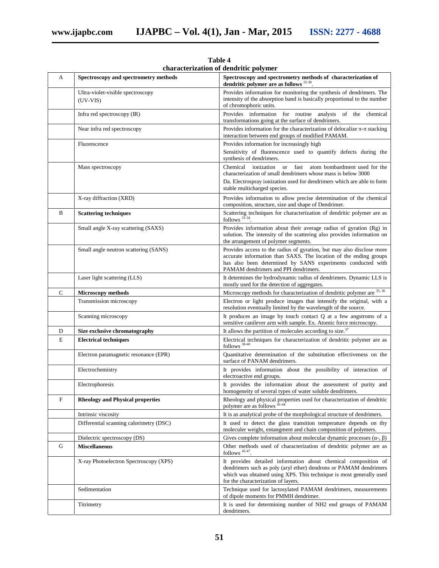| A           | Spectroscopy and spectrometry methods           | Spectroscopy and spectrometry methods of characterization of<br>dendritic polymer are as follows $25-30$ .                                                                                                                                        |
|-------------|-------------------------------------------------|---------------------------------------------------------------------------------------------------------------------------------------------------------------------------------------------------------------------------------------------------|
|             | Ultra-violet-visible spectroscopy<br>$(UV-VIS)$ | Provides information for monitoring the synthesis of dendrimers. The<br>intensity of the absorption band is basically proportional to the number<br>of chromophoric units.                                                                        |
|             | Infra red spectroscopy (IR)                     | Provides information for routine analysis of the chemical<br>transformations going at the surface of dendrimers.                                                                                                                                  |
|             | Near infra red spectroscopy                     | Provides information for the characterization of delocalize - stacking<br>interaction between end groups of modified PAMAM.                                                                                                                       |
|             | Fluorescence                                    | Provides information for increasingly high                                                                                                                                                                                                        |
|             |                                                 | Sensitivity of fluorescence used to quantify defects during the<br>synthesis of dendrimers.                                                                                                                                                       |
|             | Mass spectroscopy                               | Chemical<br>ionization or fast atom bombardment used for the<br>characterization of small dendrimers whose mass is below 3000                                                                                                                     |
|             |                                                 | Da. Electrospray ionization used for dendrimers which are able to form<br>stable multicharged species.                                                                                                                                            |
|             | X-ray diffraction (XRD)                         | Provides information to allow precise determination of the chemical<br>composition, structure, size and shape of Dendrimer.                                                                                                                       |
| B           | <b>Scattering techniques</b>                    | Scattering techniques for characterization of dendritic polymer are as<br>follows <sup>31-34</sup> .                                                                                                                                              |
|             | Small angle X-ray scattering (SAXS)             | Provides information about their average radius of gyration (Rg) in<br>solution. The intensity of the scattering also provides information on<br>the arrangement of polymer segments.                                                             |
|             | Small angle neutron scattering (SANS)           | Provides access to the radius of gyration, but may also disclose more<br>accurate information than SAXS. The location of the ending groups<br>has also been determined by SANS experiments conducted with<br>PAMAM dendrimers and PPI dendrimers. |
|             | Laser light scattering (LLS)                    | It determines the hydrodynamic radius of dendrimers. Dynamic LLS is<br>mostly used for the detection of aggregates.                                                                                                                               |
| $\mathbf C$ | <b>Microscopy methods</b>                       | Microscopy methods for characterization of dendritic polymer are 35, 36                                                                                                                                                                           |
|             | Transmission microscopy                         | Electron or light produce images that intensify the original, with a<br>resolution eventually limited by the wavelength of the source.                                                                                                            |
|             | Scanning microscopy                             | It produces an image by touch contact Q at a few angstroms of a<br>sensitive canilever arm with sample. Ex. Atomic force microscopy.                                                                                                              |
| D           | Size exclusive chromatography                   | It allows the partition of molecules according to size. <sup>37</sup>                                                                                                                                                                             |
| E           | <b>Electrical techniques</b>                    | Electrical techniques for characterization of dendritic polymer are as<br>follows 38-40                                                                                                                                                           |
|             | Electron paramagnetic resonance (EPR)           | Quantitative determination of the substitution effectiveness on the<br>surface of PANAM dendrimers.                                                                                                                                               |
|             | Electrochemistry                                | It provides information about the possibility of interaction of<br>electroactive end groups.                                                                                                                                                      |
|             | Electrophoresis                                 | It provides the information about the assessment of purity and<br>homogeneity of several types of water soluble dendrimers.                                                                                                                       |
| F           | <b>Rheology and Physical properties</b>         | Rheology and physical properties used for characterization of dendritic<br>polymer are as follows <sup>41-44</sup>                                                                                                                                |
|             | Intrinsic viscosity                             | It is as analytical probe of the morphological structure of dendrimers.                                                                                                                                                                           |
|             | Differential scanning calorimetry (DSC)         | It used to detect the glass transition temperature depends on thy<br>moleculer weight, entangment and chain composition of polymers.                                                                                                              |
|             | Dielectric spectroscopy (DS)                    | Gives complete information about molecular dynamic processes (-, )                                                                                                                                                                                |
| G           | <b>Miscellaneous</b>                            | Other methods used of characterization of dendritic polymer are as<br>follows $45-47$ .                                                                                                                                                           |
|             | X-ray Photoelectron Spectroscopy (XPS)          | It provides detailed information about chemical composition of<br>dendrimers such as poly (aryl ether) dendrons or PAMAM dendrimers<br>which was obtained using XPS. This technique is most generally used<br>for the characterization of layers. |
|             | Sedimentation                                   | Technique used for lactosylated PAMAM dendrimers, measurements<br>of dipole moments for PMMH dendrimer.                                                                                                                                           |
|             | Titrimetry                                      | It is used for determining number of NH2 end groups of PAMAM<br>dendrimers.                                                                                                                                                                       |

**Table 4 characterization of dendritic polymer**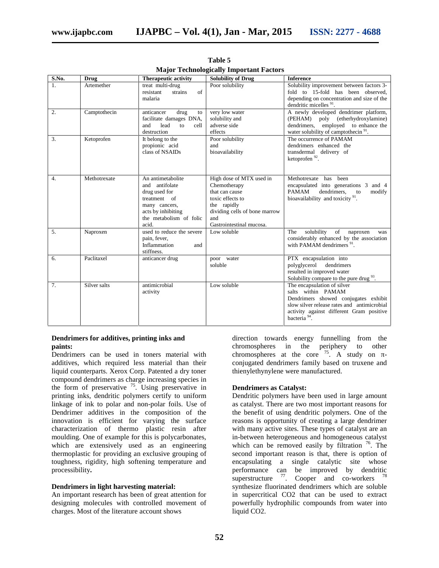| S.No.            | <b>Drug</b>  | <b>Therapeutic activity</b>                                                                                                                     | <b>Solubility of Drug</b>                                                                                                                                         | <b>Inference</b>                                                                                                                                                                                                 |
|------------------|--------------|-------------------------------------------------------------------------------------------------------------------------------------------------|-------------------------------------------------------------------------------------------------------------------------------------------------------------------|------------------------------------------------------------------------------------------------------------------------------------------------------------------------------------------------------------------|
| 1.               | Artemether   | treat multi-drug<br>resistant<br>strains<br>of<br>malaria                                                                                       | Poor solubility                                                                                                                                                   | Solubility improvement between factors 3-<br>fold to 15-fold has been observed,<br>depending on concentration and size of the<br>dendritic micelles <sup>91</sup> .                                              |
| $\overline{2}$ . | Camptothecin | anticancer<br>drug<br>to<br>facilitate damages DNA,<br>and<br>lead<br>cell<br>to<br>destruction                                                 | very low water<br>solubility and<br>adverse side<br>effects                                                                                                       | A newly developed dendrimer platform,<br>(PEHAM) poly (etherhydroxylamine)<br>dendrimers, employed to enhance the<br>water solubility of camptothecin <sup>91</sup> .                                            |
| 3.               | Ketoprofen   | It belong to the<br>propionic acid<br>class of NSAIDs                                                                                           | Poor solubility<br>and<br>bioavailability                                                                                                                         | The occurrence of PAMAM<br>dendrimers enhanced the<br>transdermal delivery of<br>ketoprofen <sup>92</sup> .                                                                                                      |
| $\overline{4}$ . | Methotrexate | An antimetabolite<br>and antifolate<br>drug used for<br>treatment of<br>many cancers,<br>acts by inhibiting<br>the metabolism of folic<br>acid. | High dose of MTX used in<br>Chemotherapy<br>that can cause<br>toxic effects to<br>the rapidly<br>dividing cells of bone marrow<br>and<br>Gastrointestinal mucosa. | Methotrexate has been<br>encapsulated into generations 3 and 4<br>PAMAM<br>dendrimers.<br>modify<br>to<br>bioavailability and toxicity <sup>91</sup> .                                                           |
| 5.               | Naproxen     | used to reduce the severe<br>pain, fever,<br>Inflammation<br>and<br>stiffness.                                                                  | Low soluble                                                                                                                                                       | solubility<br>of<br>The<br>naproxen<br>was<br>considerably enhanced by the association<br>with PAMAM dendrimers <sup>91</sup> .                                                                                  |
| 6.               | Paclitaxel   | anticancer drug                                                                                                                                 | poor water<br>soluble                                                                                                                                             | PTX encapsulation into<br>polyglycerol dendrimers<br>resulted in improved water<br>Solubility compare to the pure drug <sup>93</sup> .                                                                           |
| 7 <sub>1</sub>   | Silver salts | antimicrobial<br>activity                                                                                                                       | Low soluble                                                                                                                                                       | The encapsulation of silver<br>salts within PAMAM<br>Dendrimers showed conjugates exhibit<br>slow silver release rates and antimicrobial<br>activity against different Gram positive<br>bacteria <sup>94</sup> . |

**Table 5 Major Technologically Important Factors**

# **Dendrimers for additives, printing inks and paints:**

Dendrimers can be used in toners material with additives, which required less material than their liquid counterparts. Xerox Corp. Patented a dry toner compound dendrimers as charge increasing species in the form of preservative  $^{75}$ . Using preservative in printing inks, dendritic polymers certify to uniform linkage of ink to polar and non-polar foils. Use of Dendrimer additives in the composition of the innovation is efficient for varying the surface characterization of thermo plastic resin after moulding. One of example for this is polycarbonates, which are extensively used as an engineering thermoplastic for providing an exclusive grouping of toughness, rigidity, high softening temperature and processibility**.**

# **Dendrimers in light harvesting material:**

An important research has been of great attention for designing molecules with controlled movement of charges. Most of the literature account shows

direction towards energy funnelling from the chromospheres in the periphery to other chromospheres at the core  $75$ . A study on conjugated dendrimers family based on truxene and thienylethynylene were manufactured.

# **Dendrimers as Catalyst:**

Dendritic polymers have been used in large amount as catalyst. There are two most important reasons for the benefit of using dendritic polymers. One of the reasons is opportunity of creating a large dendrimer with many active sites. These types of catalyst are an in-between heterogeneous and homogeneous catalyst which can be removed easily by filtration  $\frac{76}{6}$ . The second important reason is that, there is option of encapsulating a single catalytic site whose performance can be improved by dendritic superstructure  $^{77}$ . Cooper and co-workers  $^{78}$ synthesize fluorinated dendrimers which are soluble in supercritical CO2 that can be used to extract powerfully hydrophilic compounds from water into liquid CO2.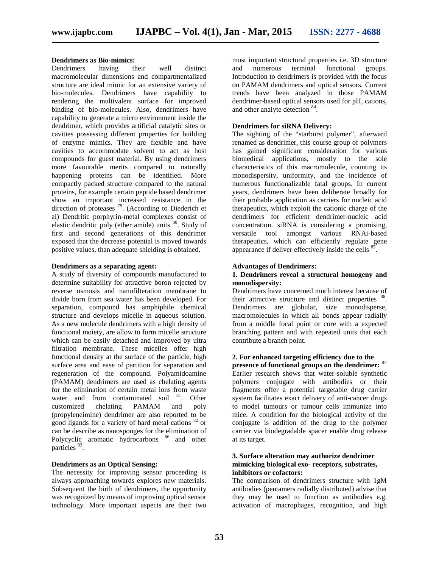# **Dendrimers as Bio-mimics:**<br>Dendrimers having their

Dendrimers having their well distinct macromolecular dimensions and compartmentalized structure are ideal mimic for an extensive variety of bio-molecules. Dendrimers have capability to rendering the multivalent surface for improved binding of bio-molecules. Also, dendrimers have capability to generate a micro environment inside the dendrimer, which provides artificial catalytic sites or cavities possessing different properties for building of enzyme mimics. They are flexible and have cavities to accommodate solvent to act as host compounds for guest material. By using dendrimers more favourable merits compared to naturally happening proteins can be identified. More compactly packed structure compared to the natural proteins, for example certain peptide based dendrimer show an important increased resistance in the direction of proteases  $^{79}$ . (According to Diederich et al) Dendritic porphyrin-metal complexes consist of elastic dendritic poly (ether amide) units <sup>80</sup>. Study of first and second generations of this dendrimer exposed that the decrease potential is moved towards positive values, than adequate shielding is obtained.

# **Dendrimers as a separating agent:**

A study of diversity of compounds manufactured to determine suitability for attractive boron rejected by reverse osmosis and nanofilteration membrane to divide born from sea water has been developed. For separation, compound has amphiphile chemical structure and develops micelle in aqueous solution. As a new molecule dendrimers with a high density of functional moiety, are allow to form micelle structure which can be easily detached and improved by ultra filtration membrane. These micelles offer high functional density at the surface of the particle, high surface area and ease of partition for separation and regeneration of the compound. Polyamidoamine (PAMAM) dendrimers are used as chelating agents for the elimination of certain metal ions from waste water and from contaminated soil <sup>81</sup>. Other customized chelating PAMAM and poly (propyleneimine) dendrimer are also reported to be good ligands for a variety of hard metal cations  $82$  or can be describe as nanosponges for the elimination of Polycyclic aromatic hydrocarbons <sup>66</sup> and other particles <sup>83</sup>.

# **Dendrimers as an Optical Sensing:**

The necessity for improving sensor proceeding is always approaching towards explores new materials. Subsequent the birth of dendrimers, the opportunity was recognized by means of improving optical sensor technology. More important aspects are their two

most important structural properties i.e. 3D structure and numerous terminal functional groups. Introduction to dendrimers is provided with the focus on PAMAM dendrimers and optical sensors. Current trends have been analyzed in those PAMAM dendrimer-based optical sensors used for pH, cations, and other analyte detection <sup>84</sup>.

# **Dendrimers for siRNA Delivery:**

The sighting of the "starburst polymer", afterward renamed as dendrimer, this course group of polymers has gained significant consideration for various biomedical applications, mostly to the sole characteristics of this macromolecule, counting its monodispersity, uniformity, and the incidence of numerous functionalizable fatal groups. In current years, dendrimers have been deliberate broadly for their probable application as carriers for nucleic acid therapeutics, which exploit the cationic charge of the dendrimers for efficient dendrimer-nucleic acid concentration. siRNA is considering a promising, versatile tool amongst various RNAi-based therapeutics, which can efficiently regulate gene appearance if deliver effectively inside the cells  $85$ .

#### **Advantages of Dendrimers:**

# **1. Dendrimers reveal a structural homogeny and monodispersity:**

Dendrimers have concerned much interest because of their attractive structure and distinct properties <sup>86</sup>. Dendrimers are globular, size monodisperse, macromolecules in which all bonds appear radially from a middle focal point or core with a expected branching pattern and with repeated units that each contribute a branch point.

# **2. For enhanced targeting efficiency due to the presence of functional groups on the dendrimer:** 87

Earlier research shows that water-soluble synthetic polymers conjugate with antibodies or their fragments offer a potential targetable drug carrier system facilitates exact delivery of anti-cancer drugs to model tumours or tumour cells immunize into mice. A condition for the biological activity of the conjugate is addition of the drug to the polymer carrier via biodegradable spacer enable drug release at its target.

# **3. Surface alteration may authorize dendrimer mimicking biological exo- receptors, substrates, inhibitors or cofactors:**

The comparison of dendrimers structure with 1gM antibodies (pentamers radially distributed) advise that they may be used to function as antibodies e.g. activation of macrophages, recognition, and high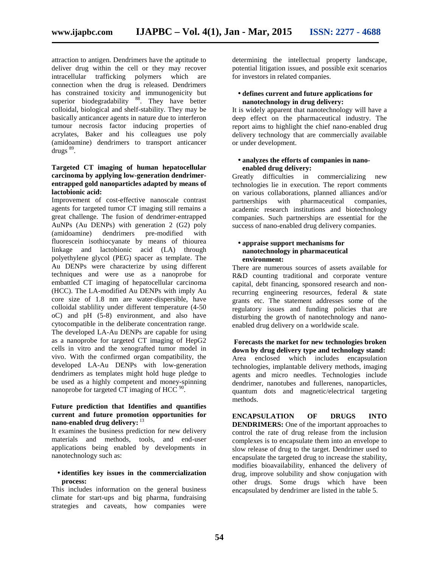attraction to antigen. Dendrimers have the aptitude to deliver drug within the cell or they may recover intracellular trafficking polymers which are connection when the drug is released. Dendrimers has constrained toxicity and immunogenicity but superior biodegradability <sup>88</sup>. They have better colloidal, biological and shelf-stability. They may be basically anticancer agents in nature due to interferon tumour necrosis factor inducing properties of acrylates, Baker and his colleagues use poly (amidoamine) dendrimers to transport anticancer drugs<sup>89</sup>.

# **Targeted CT imaging of human hepatocellular carcinoma by applying low-generation dendrimer entrapped gold nanoparticles adapted by means of lactobionic acid:**

Improvement of cost-effective nanoscale contrast agents for targeted tumor CT imaging still remains a great challenge. The fusion of dendrimer-entrapped AuNPs (Au DENPs) with generation 2 (G2) poly (amidoamine) dendrimers pre-modified with fluorescein isothiocyanate by means of thiourea linkage and lactobionic acid (LA) through polyethylene glycol (PEG) spacer as template. The Au DENPs were characterize by using different techniques and were use as a nanoprobe for embattled CT imaging of hepatocellular carcinoma (HCC). The LA-modified Au DENPs with imply Au core size of 1.8 nm are water-dispersible, have colloidal stablility under different temperature (4-50 oC) and pH (5-8) environment, and also have cytocompatible in the deliberate concentration range. The developed LA-Au DENPs are capable for using as a nanoprobe for targeted CT imaging of HepG2 cells in vitro and the xenografted tumor model in vivo. With the confirmed organ compatibility, the developed LA-Au DENPs with low-generation dendrimers as templates might hold huge pledge to be used as a highly competent and money-spinning nanoprobe for targeted CT imaging of HCC  $90$ .

# **Future prediction that Identifies and quantifies current and future promotion opportunities for nano-enabled drug delivery:** 13

It examines the business prediction for new delivery materials and methods, tools, and end-user applications being enabled by developments in nanotechnology such as:

# **identifies key issues in the commercialization process:**

This includes information on the general business climate for start-ups and big pharma, fundraising strategies and caveats, how companies were determining the intellectual property landscape, potential litigation issues, and possible exit scenarios for investors in related companies.

# **defines current and future applications for nanotechnology in drug delivery:**

It is widely apparent that nanotechnology will have a deep effect on the pharmaceutical industry. The report aims to highlight the chief nano-enabled drug delivery technology that are commercially available or under development.

# **analyzes the efforts of companies in nano enabled drug delivery:**

Greatly difficulties in commercializing new technologies lie in execution. The report comments on various collaborations, planned alliances and/or partnerships with pharmaceutical companies, with pharmaceutical companies, academic research institutions and biotechnology companies. Such partnerships are essential for the success of nano-enabled drug delivery companies.

# **appraise support mechanisms for nanotechnology in pharmaceutical environment:**

There are numerous sources of assets available for R&D counting traditional and corporate venture capital, debt financing, sponsored research and nonrecurring engineering resources, federal & state grants etc. The statement addresses some of the regulatory issues and funding policies that are disturbing the growth of nanotechnology and nano enabled drug delivery on a worldwide scale.

# **Forecasts the market for new technologies broken down by drug delivery type and technology stand:** Area enclosed which includes encapsulation technologies, implantable delivery methods, imaging agents and micro needles. Technologies include dendrimer, nanotubes and fullerenes, nanoparticles, quantum dots and magnetic/electrical targeting methods.

**ENCAPSULATION OF DRUGS INTO DENDRIMERS:** One of the important approaches to control the rate of drug release from the inclusion complexes is to encapsulate them into an envelope to slow release of drug to the target. Dendrimer used to encapsulate the targeted drug to increase the stability, modifies bioavailability, enhanced the delivery of drug, improve solubility and show conjugation with other drugs. Some drugs which have been encapsulated by dendrimer are listed in the table 5.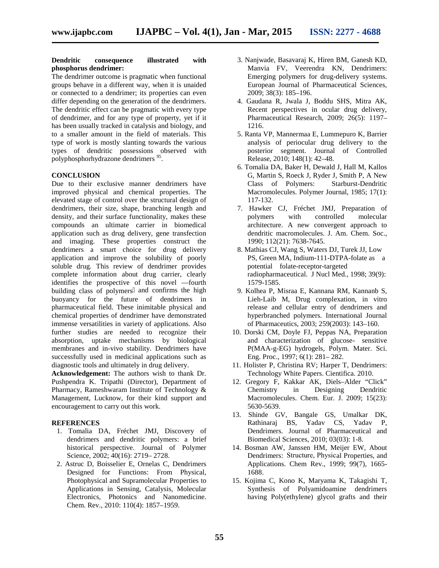### **Dendritic consequence illustrated with phosphorus dendrimer:**

The dendrimer outcome is pragmatic when functional groups behave in a different way, when it is unaided or connected to a dendrimer; its properties can even differ depending on the generation of the dendrimers. The dendritic effect can be pragmatic with every type of dendrimer, and for any type of property, yet if it has been usually tracked in catalysis and biology, and to a smaller amount in the field of materials. This type of work is mostly slanting towards the various types of dendritic possessions observed with polyphosphorhydrazone dendrimers<sup>9</sup> .

# **CONCLUSION**

Due to their exclusive manner dendrimers have improved physical and chemical properties. The elevated stage of control over the structural design of dendrimers, their size, shape, branching length and density, and their surface functionality, makes these compounds an ultimate carrier in biomedical application such as drug delivery, gene transfection and imaging. These properties construct the dendrimers a smart choice for drug delivery application and improve the solubility of poorly soluble drug. This review of dendrimer provides complete information about drug carrier, clearly identifies the prospective of this novel ―fourth building class of polymers and confirms the high buoyancy for the future of dendrimers in pharmaceutical field. These inimitable physical and chemical properties of dendrimer have demonstrated immense versatilities in variety of applications. Also further studies are needed to recognize their absorption, uptake mechanisms by biological membranes and in-vivo stability. Dendrimers have successfully used in medicinal applications such as diagnostic tools and ultimately in drug delivery.

**Acknowledgement:** The authors wish to thank Dr. Pushpendra K. Tripathi (Director), Department of Pharmacy, Rameshwaram Institute of Technology & Chemistry Management, Lucknow, for their kind support and encouragement to carry out this work.

#### **REFERENCES**

- 1. Tomalia DA, Fréchet JMJ, Discovery of dendrimers and dendritic polymers: a brief historical perspective. Journal of Polymer Science, 2002; 40(16): 2719– 2728.
- 2. Astruc D, Boisselier E, Ornelas C, Dendrimers Designed for Functions: From Physical, Photophysical and Supramolecular Properties to Applications in Sensing, Catalysis, Molecular Electronics, Photonics and Nanomedicine. Chem. Rev., 2010: 110(4): 1857–1959.
- 3. Nanjwade, Basavaraj K, Hiren BM, Ganesh KD, Manvia FV, Veerendra KN, Dendrimers: Emerging polymers for drug-delivery systems. European Journal of Pharmaceutical Sciences, 2009; 38(3): 185–196.
- 4. Gaudana R,Jwala J, Boddu SHS, Mitra AK, Recent perspectives in ocular drug delivery, Pharmaceutical Research, 2009; 26(5): 1197– 1216.
- 5. Ranta VP, Mannermaa E, Lummepuro K, Barrier analysis of periocular drug delivery to the posterior segment. Journal of Controlled Release, 2010; 148(1): 42–48.
- 6. Tomalia DA, Baker H, Dewald J, Hall M, Kallos G, Martin S, Roeck J, Ryder J, Smith P, A New Class of Polymers: Starburst-Dendritic Macromolecules. Polymer Journal, 1985; 17(1): 117-132.
- 7. Hawker CJ, Fréchet JMJ, Preparation of polymers with controlled molecular architecture. A new convergent approach to dendritic macromolecules. J. Am. Chem. Soc., 1990; 112(21): 7638-7645.
- 8. Mathias CJ, Wang S, Waters DJ, Turek JJ, Low PS, Green MA, Indium-111-DTPA-folate as a potential folate-receptor-targeted radiopharmaceutical. J Nucl Med., 1998; 39(9): 1579-1585.
- 9. Kolhea P, Misraa E, Kannana RM, Kannanb S, Lieh-Laib M, Drug complexation, in vitro release and cellular entry of dendrimers and hyperbranched polymers. International Journal of Pharmaceutics, 2003; 259(2003): 143–160.
- 10. Dorski CM, Doyle FJ, Peppas NA, Preparation and characterization of glucose- sensitive P(MAA-g-EG) hydrogels, Polym. Mater. Sci. Eng. Proc., 1997; 6(1): 281– 282.
- 11. Holister P, Christina RV; Harper T, Dendrimers: Technology White Papers. Cientifica. 2010.
- 12. Gregory F, Kakkar AK, Diels–Alder "Click" in Designing Dendritic Macromolecules. Chem. Eur. J. 2009; 15(23): 5630-5639.
- 13. Shinde GV, Bangale GS, Umalkar DK, Rathinaraj BS, Yadav CS, Yadav P, Dendrimers. Journal of Pharmaceutical and Biomedical Sciences, 2010; 03(03): 1-8.
- 14. Bosman AW, Janssen HM, Meijer EW, About Dendrimers:  Structure, Physical Properties, and Applications. Chem Rev., 1999; 99(7), 1665- 1688.
- 15. Kojima C, Kono K, Maryama K, Takagishi T, Synthesis of Polyamidoamine dendrimers having Poly(ethylene) glycol grafts and their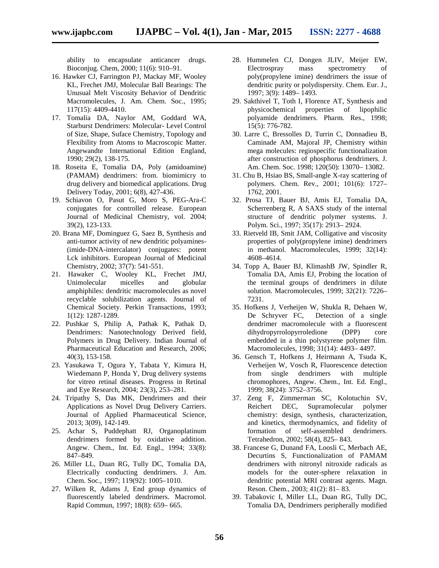ability to encapsulate anticancer drugs. Bioconjug. Chem, 2000; 11(6): 910–91.

- 16. Hawker CJ, Farrington PJ, Mackay MF, Wooley KL, Frechet JMJ, Molecular Ball Bearings: The Unusual Melt Viscosity Behavior of Dendritic Macromolecules, J. Am. Chem. Soc., 1995; 117(15): 4409-4410.
- 17. Tomalia DA, Naylor AM, Goddard WA, Starburst Dendrimers: Molecular- Level Control of Size, Shape, Suface Chemistry, Topology and Flexibility from Atoms to Macroscopic Matter. Angewandte International Edition England, 1990; 29(2), 138-175.
- 18. Roseita E, Tomalia DA, Poly (amidoamine) (PAMAM) dendrimers: from. biomimicry to drug delivery and biomedical applications. Drug Delivery Today, 2001; 6(8), 427-436.
- 19. Schiavon O, Pasut G, Moro S, PEG-Ara-C conjugates for controlled release. European Journal of Medicinal Chemistry, vol. 2004; 39(2), 123-133.
- 20. Brana MF, Dominguez G, Saez B, Synthesis and anti-tumor activity of new dendritic polyamines- (imide-DNA-intercalator) conjugates: potent Lck inhibitors. European Journal of Medicinal Chemistry, 2002; 37(7): 541-551.
- 21. Hawaker C, Wooley KL, Frechet JMJ, Unimolecular micelles and globular amphiphiles: dendritic macromolecules as novel recyclable solubilization agents. Journal of Chemical Society. Perkin Transactions, 1993; 1(12): 1287-1289.
- 22. Pushkar S, Philip A, Pathak K, Pathak D, Dendrimers: Nanotechnology Derived field, Polymers in Drug Delivery. Indian Journal of Pharmaceutical Education and Research, 2006; 40(3), 153-158.
- 23. Yasukawa T, Ogura Y, Tabata Y, Kimura H,Wiedemann P, Honda Y, Drug delivery systems for vitreo retinal diseases. Progress in Retinal and Eye Research, 2004; 23(3), 253–281.
- 24. Tripathy S, Das MK, Dendrimers and their Applications as Novel Drug Delivery Carriers. Journal of Applied Pharmaceutical Science, 2013; 3(09), 142-149.
- 25. Achar S, Puddephatt RJ, Organoplatinum dendrimers formed by oxidative addition. Angew. Chem., Int. Ed. Engl., 1994; 33(8): 847–849.
- 26. Miller LL, Duan RG, Tully DC, Tomalia DA, Electrically conducting dendrimers. J. Am. Chem. Soc., 1997; 119(92): 1005–1010.
- 27. Wilken R, Adams J, End group dynamics of fluorescently labeled dendrimers. Macromol. Rapid Commun, 1997; 18(8): 659– 665.
- 28. Hummelen CJ, Dongen JLIV, Meijer EW, Electrospray mass spectrometry of poly(propylene imine) dendrimers the issue of dendritic purity or polydispersity. Chem. Eur. J., 1997; 3(9): 1489– 1493.
- 29. Sakthivel T, Toth I, Florence AT, Synthesis and physicochemical properties of lipophilic polyamide dendrimers. Pharm. Res., 1998; 15(5): 776-782.
- 30. Larre C, Bressolles D, Turrin C, Donnadieu B, Caminade AM, Majoral JP, Chemistry within mega molecules: regiospecific functionalization after construction of phosphorus dendrimers. J. Am. Chem. Soc. 1998; 120(50): 13070– 13082.
- 31. Chu B, Hsiao BS, Small-angle X-ray scattering of polymers. Chem. Rev., 2001; 101(6): 1727– 1762, 2001.
- 32. Prosa TJ, Bauer BJ, Amis EJ, Tomalia DA, Scherrenberg R, A SAXS study of the internal structure of dendritic polymer systems. J. Polym. Sci., 1997; 35(17): 2913– 2924.
- 33. Rietveld IB, Smit JAM, Colligative and viscosity properties of poly(propylene imine) dendrimers in methanol. Macromolecules, 1999; 32(14): 4608–4614.
- 34. Topp A, Bauer BJ, KlimashB JW, Spindler R, Tomalia DA, Amis EJ, Probing the location of the terminal groups of dendrimers in dilute solution. Macromolecules, 1999; 32(21): 7226– 7231.
- 35. Hofkens J, Verheijen W, Shukla R, Dehaen W, Detection of a single dendrimer macromolecule with a fluorescent dihydropyrrolopyrroledione (DPP) core embedded in a thin polystyrene polymer film. Macromolecules, 1998; 31(14): 4493– 4497.
- 36. Gensch T, Hofkens J, Heirmann A, Tsuda K, Verheijen W, Vosch R, Fluorescence detection from single dendrimers with multiple chromophores, Angew. Chem., Int. Ed. Engl., 1999; 38(24): 3752–3756.
- 37. Zeng F, Zimmerman SC, Kolotuchin SV, Reichert DEC, Supramolecular polymer chemistry: design, synthesis, characterization, and kinetics, thermodynamics, and fidelity of formation of self-assembled dendrimers. Tetrahedron, 2002; 58(4), 825– 843.
- 38. Francese G, Dunand FA, Loosli C, Merbach AE, Decurtins S, Functionalization of PAMAM dendrimers with nitronyl nitroxide radicals as models for the outer-sphere relaxation in dendritic potential MRI contrast agents. Magn. Reson. Chem., 2003; 41(2): 81– 83.
- 39. Tabakovic I, Miller LL, Duan RG, Tully DC, Tomalia DA, Dendrimers peripherally modified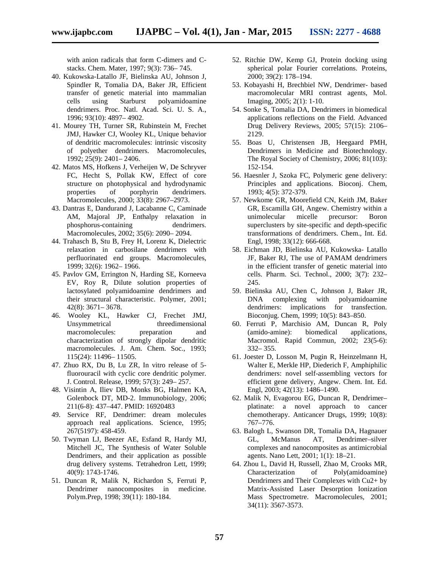with anion radicals that form C-dimers and C stacks. Chem. Mater, 1997; 9(3): 736– 745.

- 40. Kukowska-Latallo JF, Bielinska AU, Johnson J, Spindler R, Tomalia DA, Baker JR, Efficient transfer of genetic material into mammalian cells using Starburst polyamidoamine dendrimers. Proc. Natl. Acad. Sci. U. S. A., 1996; 93(10): 4897– 4902.
- 41. Mourey TH, Turner SR, Rubinstein M, Frechet JMJ, Hawker CJ, Wooley KL, Unique behavior of dendritic macromolecules: intrinsic viscosity of polyether dendrimers. Macromolecules, 1992; 25(9): 2401– 2406.
- 42. Matos MS, Hofkens J, Verheijen W, De Schryver FC, Hecht S, Pollak KW, Effect of core structure on photophysical and hydrodynamic properties of porphyrin dendrimers. Macromolecules, 2000; 33(8): 2967–2973.
- 43. Dantras E, Dandurand J, Lacabanne C, Caminade AM, Majoral JP, Enthalpy relaxation in phosphorus-containing dendrimers. Macromolecules, 2002; 35(6): 2090– 2094.
- 44. Trahasch B, Stu B, Frey H, Lorenz K, Dielectric relaxation in carbosilane dendrimers with perfluorinated end groups. Macromolecules, 1999; 32(6): 1962– 1966.
- 45. Pavlov GM, Errington N, Harding SE, Korneeva EV, Roy R, Dilute solution properties of lactosylated polyamidoamine dendrimers and their structural characteristic. Polymer, 2001; 42(8): 3671– 3678.
- 46. Wooley KL, Hawker CJ, Frechet JMJ, Unsymmetrical threedimensional<br>macromolecules: preparation and macromolecules: preparation and characterization of strongly dipolar dendritic macromolecules. J. Am. Chem. Soc., 1993; 115(24): 11496– 11505.
- 47. Zhuo RX, Du B, Lu ZR, In vitro release of 5 fluorouracil with cyclic core dendritic polymer. J. Control. Release, 1999; 57(3): 249– 257.
- 48. Visintin A, Iliev DB, Monks BG, Halmen KA, Golenbock DT, MD-2. Immunobiology, 2006; 211(6-8): 437–447. PMID: 16920483
- 49. Service RF, Dendrimer: dream molecules approach real applications. Science, 1995; 267(5197): 458-459.
- 50. Twyman LJ, Beezer AE, Esfand R, Hardy MJ, Mitchell JC, The Synthesis of Water Soluble Dendrimers, and their application as possible drug delivery systems. Tetrahedron Lett, 1999; 40(9): 1743-1746.
- 51. Duncan R, Malik N, Richardon S, Ferruti P, Dendrimer nanocomposites in medicine. Polym.Prep, 1998; 39(11): 180-184.
- 52. Ritchie DW, Kemp GJ, Protein docking using spherical polar Fourier correlations. Proteins, 2000; 39(2): 178–194.
- 53. Kobayashi H, Brechbiel NW, Dendrimer- based macromolecular MRI contrast agents, Mol. Imaging, 2005; 2(1): 1-10.
- 54. Sonke S, Tomalia DA, Dendrimers in biomedical applications reflections on the Field. Advanced Drug Delivery Reviews, 2005; 57(15): 2106– 2129.
- 55. Boas U, Christensen JB, Heegaard PMH, Dendrimers in Medicine and Biotechnology. The Royal Society of Chemistry, 2006; 81(103): 152-154.
- 56. Haesnler J, Szoka FC, Polymeric gene delivery: Principles and applications. Bioconj. Chem, 1993; 4(5): 372-379.
- 57. Newkome GR, Moorefield CN, Keith JM, Baker GR, Escamilla GH, Angew. Chemistry within a unimolecular micelle precursor: Boron superclusters by site-specific and depth-specific transformations of dendrimers. Chem., Int. Ed. Engl, 1998; 33(12): 666-668.
- 58. Eichman JD, Bielinska AU, Kukowska- Latallo JF, Baker RJ, The use of PAMAM dendrimers in the efficient transfer of genetic material into cells. Pharm. Sci. Technol., 2000; 3(7): 232– 245.
- 59. Bielinska AU, Chen C, Johnson J, Baker JR, DNA complexing with polyamidoamine dendrimers: implications for transfection. Bioconjug. Chem, 1999; 10(5): 843–850.
- 60. Ferruti P, Marchisio AM, Duncan R, Poly (amido-amine): biomedical applications, Macromol. Rapid Commun, 2002; 23(5-6): 332– 355.
- 61. Joester D, Losson M, Pugin R, Heinzelmann H, Walter E, Merkle HP, Diederich F, Amphiphilic dendrimers: novel self-assembling vectors for efficient gene delivery, Angew. Chem. Int. Ed. Engl, 2003; 42(13): 1486–1490.
- 62. Malik N, Evagorou EG, Duncan R, Dendrimer– platinate: a novel approach to cancer chemotherapy. Anticancer Drugs, 1999; 10(8): 767–776.
- 63. Balogh L, Swanson DR, Tomalia DA, Hagnauer GL, McManus AT, Dendrimer–silver complexes and nanocomposites as antimicrobial agents. Nano Lett, 2001; 1(1): 18–21.
- 64. Zhou L, David H, Russell, Zhao M, Crooks MR, Characterization of Poly(amidoamine) Dendrimers and Their Complexes with Cu2+ by Matrix-Assisted Laser Desorption Ionization Mass Spectrometre. Macromolecules, 2001; 34(11): 3567-3573.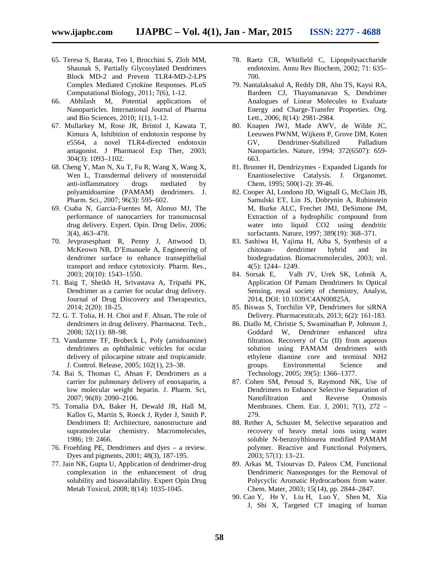- 65. Teresa S, Barata, Teo I, Brocchini S, Zloh MM, Shaunak S, Partially Glycosylated Dendrimers Block MD-2 and Prevent TLR4-MD-2-LPS Complex Mediated Cytokine Responses. PLoS
- Computational Biology, 2011; 7(6), 1-12. 66. Abhilash M, Potential applications of Nanoparticles. International Journal of Pharma and Bio Sciences, 2010; 1(1), 1-12.
- 67. Mullarkey M, Rose JR, Bristol J, Kawata T, Kimura A, Inhibition of endotoxin response by e5564, a novel TLR4-directed endotoxin antagonist. J Pharmacol Exp Ther, 2003; 304(3): 1093–1102.
- 68. Cheng Y, Man N, Xu T, Fu R, Wang X, Wang X, Wen L, Transdermal delivery of nonsteroidal anti-inflammatory drugs mediated by polyamidoamine (PAMAM) dendrimers. J. Pharm. Sci., 2007; 96(3): 595–602.
- 69. Csaba N, Garcia-Fuentes M, Alonso MJ, The performance of nanocarriers for transmucosal drug delivery. Expert. Opin. Drug Deliv, 2006; 3(4), 463–478.
- 70. Jevprasesphant R, Penny J, Attwood D, McKeown NB, D'Emanuele A, Engineering of dendrimer surface to enhance transepithelial transport and reduce cytotoxicity. Pharm. Res., 2003; 20(10): 1543–1550.
- 71. Baig T, Sheikh H, Srivastava A, Tripathi PK, Dendrimer as a carrier for ocular drug delivery. Journal of Drug Discovery and Therapeutics, 2014; 2(20): 18-25.
- 72. G. T. Tolia, H. H. Choi and F. Ahsan, The role of dendrimers in drug delivery. Pharmaceut. Tech., 2008; 32(11): 88–98.
- 73. Vandamme TF, Brobeck L, Poly (amidoamine) dendrimers as ophthalmic vehicles for ocular delivery of pilocarpine nitrate and tropicamide. J. Control. Release, 2005; 102(1), 23–38.
- 74. Bai S, Thomas C, Ahsan F, Dendrimers as a carrier for pulmonary delivery of enoxaparin, a low molecular weight heparin. J. Pharm. Sci, 2007; 96(8): 2090–2106.
- 75. Tomalia DA, Baker H, Dewald JR, Hall M, Kallos G, Martin S, Roeck J, Ryder J, Smith P, Dendrimers II: Architecture, nanostructure and supramolecular chemistry. Macromolecules, 1986; 19: 2466.
- 76. Froehling PE, Dendrimers and dyes a review. Dyes and pigments, 2001; 48(3), 187-195.
- 77. Jain NK, Gupta U, Application of dendrimer-drug complexation in the enhancement of drug solubility and bioavailability. Expert Opin Drug Metab Toxicol, 2008; 8(14): 1035-1045.
- 78. Raetz CR, Whitfield C, Lipopolysaccharide endotoxins. Annu Rev Biochem, 2002; 71: 635– 700.
- 79. Nantalaksakul A, Reddy DR, Ahn TS, Kaysi RA, Bardeen CJ, Thayumanavan S, Dendrimer Analogues of Linear Molecules to Evaluate Energy and Charge-Transfer Properties. Org. Lett., 2006; 8(14): 2981-2984.
- 80. Knapen JWJ, Made AWV, de Wilde JC, Leeuwen PWNM, Wijkens P, Grove DM, Koten GV, Dendrimer-Stabilized Palladium Nanoparticles. Nature, 1994; 372(6507): 659- 663.
- 81. Brunner H, Dendrizymes Expanded Ligands for Enantioselective Catalysis. J. Organomet. Chem, 1995; 500(1-2): 39-46.
- 82. Cooper AI, Londono JD, Wignall G, McClain JB, Samulski ET, Lin JS, Dobrynin A, Rubinstein M, Burke ALC, Frechet JMJ, DeSimone JM, Extraction of a hydrophilic compound from water into liquid CO2 using dendritic surfactants. Nature, 1997; 389(19): 368–371.
- 83. Sashiwa H, Yajima H, Aiba S, Synthesis of a chitosan– dendrimer hybrid and its biodegradation. Biomacromolecules, 2003; vol. 4(5): 1244– 1249.
- 84. Sorsak E, Valh JV, Urek SK, Lobnik A, Application Of Pamam Dendrimers In Optical Sensing, royal society of chemistry, Analyst, 2014, DOI: 10.1039/C4AN00825A.
- 85. Biswas S, Torchilin VP, Dendrimers for siRNA Delivery. Pharmaceuticals, 2013; 6(2): 161-183.
- 86. Diallo M, Christie S, Swaminathan P, Johnson J, Goddard W, Dendrimer enhanced ultra filtration. Recovery of Cu (II) from aqueous solution using PAMAM dendrimers with ethylene diamine core and terminal NH2 groups. Environmental Science and Technology, 2005; 39(5): 1366–1377.
- 87. Cohen SM, Petoud S, Raymond NK, Use of Dendrimers to Enhance Selective Separation of<br>Nanofiltration and Reverse Osmosis Nanofiltration and Membranes. Chem. Eur. J, 2001; 7(1), 272 – 279.
- 88. Rether A, Schuster M, Selective separation and recovery of heavy metal ions using water soluble N-benzoylthiourea modified PAMAM polymer. Reactive and Functional Polymers, 2003; 57(1): 13–21.
- 89. Arkas M, Tsiourvas D, Paleos CM, Functional Dendrimeric Nanosponges for the Removal of Polycyclic Aromatic Hydrocarbons from water. Chem. Mater, 2003; 15(14), pp. 2844–2847.
- 90. Cao Y, He Y, Liu H, Luo Y, Shen M, Xia J, Shi X, Targeted CT imaging of human